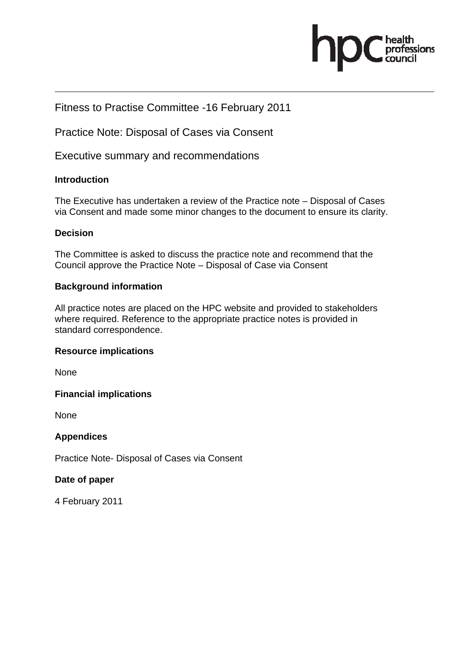

#### Fitness to Practise Committee -16 February 2011

Practice Note: Disposal of Cases via Consent

Executive summary and recommendations

#### **Introduction**

The Executive has undertaken a review of the Practice note – Disposal of Cases via Consent and made some minor changes to the document to ensure its clarity.

#### **Decision**

The Committee is asked to discuss the practice note and recommend that the Council approve the Practice Note – Disposal of Case via Consent

#### **Background information**

All practice notes are placed on the HPC website and provided to stakeholders where required. Reference to the appropriate practice notes is provided in standard correspondence.

#### **Resource implications**

None

#### **Financial implications**

None

#### **Appendices**

Practice Note- Disposal of Cases via Consent

#### **Date of paper**

4 February 2011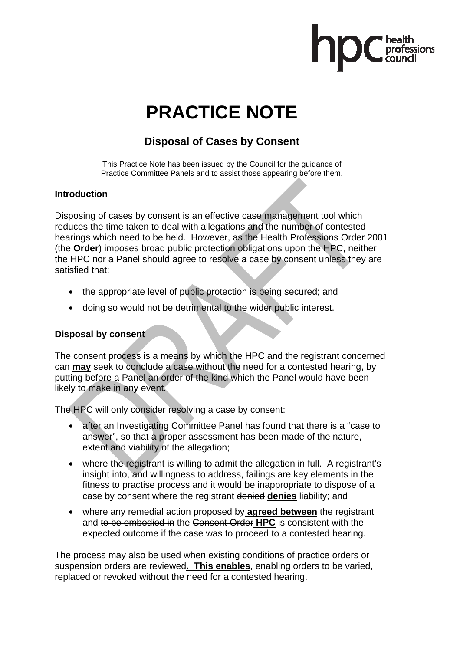## **PRACTICE NOTE**

#### **Disposal of Cases by Consent**

This Practice Note has been issued by the Council for the guidance of Practice Committee Panels and to assist those appearing before them.

#### **Introduction**

Disposing of cases by consent is an effective case management tool which reduces the time taken to deal with allegations and the number of contested hearings which need to be held. However, as the Health Professions Order 2001 (the **Order**) imposes broad public protection obligations upon the HPC, neither the HPC nor a Panel should agree to resolve a case by consent unless they are satisfied that:

- the appropriate level of public protection is being secured; and
- doing so would not be detrimental to the wider public interest.

#### **Disposal by consent**

The consent process is a means by which the HPC and the registrant concerned can **may** seek to conclude a case without the need for a contested hearing, by putting before a Panel an order of the kind which the Panel would have been likely to make in any event.

The HPC will only consider resolving a case by consent:

- after an Investigating Committee Panel has found that there is a "case to answer", so that a proper assessment has been made of the nature, extent and viability of the allegation;
- where the registrant is willing to admit the allegation in full. A registrant's insight into, and willingness to address, failings are key elements in the fitness to practise process and it would be inappropriate to dispose of a case by consent where the registrant denied **denies** liability; and
- where any remedial action proposed by **agreed between** the registrant and to be embodied in the Consent Order **HPC** is consistent with the expected outcome if the case was to proceed to a contested hearing.

The process may also be used when existing conditions of practice orders or suspension orders are reviewed**. This enables**, enabling orders to be varied, replaced or revoked without the need for a contested hearing.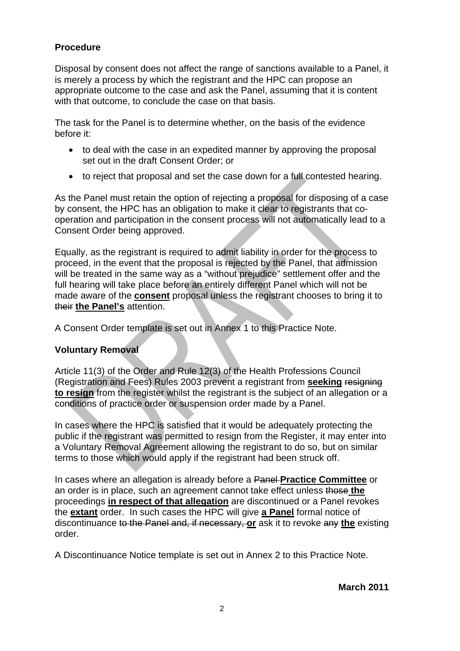#### **Procedure**

Disposal by consent does not affect the range of sanctions available to a Panel, it is merely a process by which the registrant and the HPC can propose an appropriate outcome to the case and ask the Panel, assuming that it is content with that outcome, to conclude the case on that basis.

The task for the Panel is to determine whether, on the basis of the evidence before it:

- to deal with the case in an expedited manner by approving the proposal set out in the draft Consent Order; or
- to reject that proposal and set the case down for a full contested hearing.

As the Panel must retain the option of rejecting a proposal for disposing of a case by consent, the HPC has an obligation to make it clear to registrants that cooperation and participation in the consent process will not automatically lead to a Consent Order being approved.

Equally, as the registrant is required to admit liability in order for the process to proceed, in the event that the proposal is rejected by the Panel, that admission will be treated in the same way as a "without prejudice" settlement offer and the full hearing will take place before an entirely different Panel which will not be made aware of the **consent** proposal unless the registrant chooses to bring it to their **the Panel's** attention.

A Consent Order template is set out in Annex 1 to this Practice Note.

#### **Voluntary Removal**

Article 11(3) of the Order and Rule 12(3) of the Health Professions Council (Registration and Fees) Rules 2003 prevent a registrant from **seeking** resigning **to resign** from the register whilst the registrant is the subject of an allegation or a conditions of practice order or suspension order made by a Panel.

In cases where the HPC is satisfied that it would be adequately protecting the public if the registrant was permitted to resign from the Register, it may enter into a Voluntary Removal Agreement allowing the registrant to do so, but on similar terms to those which would apply if the registrant had been struck off.

In cases where an allegation is already before a Panel **Practice Committee** or an order is in place, such an agreement cannot take effect unless those **the** proceedings **in respect of that allegation** are discontinued or a Panel revokes the **extant** order. In such cases the HPC will give **a Panel** formal notice of discontinuance to the Panel and, if necessary, **or** ask it to revoke any **the** existing order.

A Discontinuance Notice template is set out in Annex 2 to this Practice Note.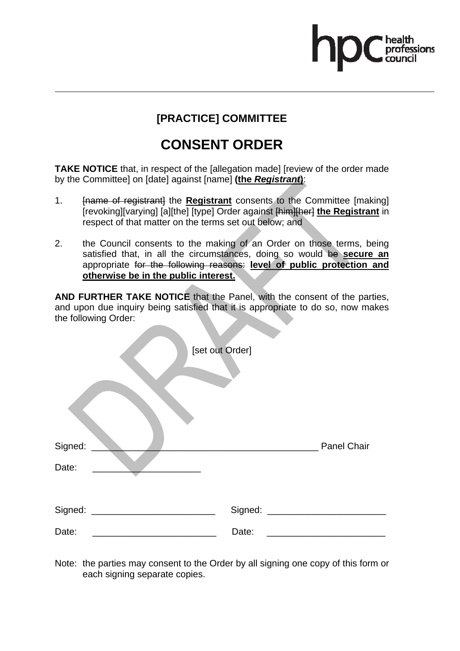# ofessions

#### **[PRACTICE] COMMITTEE**

### **CONSENT ORDER**

**TAKE NOTICE** that, in respect of the [allegation made] [review of the order made by the Committee] on [date] against [name] **(the** *Registrant***)**:

- 1. [name of registrant] the **Registrant** consents to the Committee [making] [revoking][varying] [a][the] [type] Order against [him][her] **the Registrant** in respect of that matter on the terms set out below; and
- 2. the Council consents to the making of an Order on those terms, being satisfied that, in all the circumstances, doing so would be **secure an** appropriate for the following reasons: **level of public protection and otherwise be in the public interest.**

**AND FURTHER TAKE NOTICE** that the Panel, with the consent of the parties, and upon due inquiry being satisfied that it is appropriate to do so, now makes the following Order:

| [set out Order]<br>Signed:<br>Date: | $\tilde{\phantom{a}}$ | Panel Chair |
|-------------------------------------|-----------------------|-------------|
| Signed:                             | Signed:               |             |
| Date:                               | Date:                 |             |

Note: the parties may consent to the Order by all signing one copy of this form or each signing separate copies.